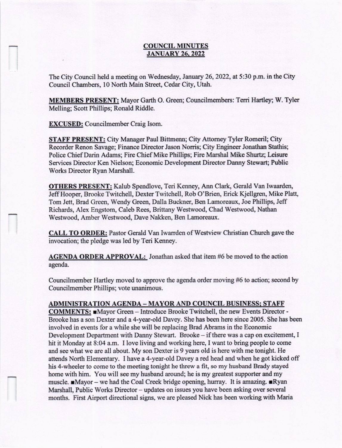## **COUNCIL MINUTES** JANUARY 26.2022

The City Council held a meeting on Wednesday, lanuary 26,2022, at 5:30 p.m. in the City Council Chambers, 10 North Main Street, Cedar City, Utah.

MEMBERS PRESENT: Mayor Garth O. Green; Councilmembers: Terri Hartley; W. Tyler Melling; Scott Phillips; Ronald Riddle.

**EXCUSED:** Councilmember Craig Isom.

STAFF PRESENT: City Manager Paul Bittmenn; City Attomey Tyler Romeril; City Recorder Renon Savage; Finance Director Jason Norris; City Engineer Jonathan Stathis; Police Chief Darin Adams; Fire Chief Mike Phillips; Fire Marshal Mike Shurtz; Leisure Services Director Ken Nielson; Economic Development Director Danny Stewart; Public Works Director Ryan Marshall.

OTHERS PRESENT: Kalub Spendlove, Teri Kenney, Ann Clark, Gerald Van Iwaarderl JeffHooper, Brooke Twitchell, Dexter Twitchell, Rob O'Brien, Erick Kjellgren, Mike Platt, Tom Jett, Brad Green, Wandy Grean, Dalla Buckner, Ben Lamoreaux, Joe Phillips, Jeff Richards, Alex Engstom, Caleb Rees, Brittany Westwood, Chad Westwood, Nathan Westwood, Amber Westwood, Dave Nakken, Ben Lamoreaux.

CALL TO ORDER: Pastor Gerald Van Iwarrden of Westview Christian Church gave the invocation; the pledge was led by Teri Kenney.

AGENDA ORDER APPROVAL: Jonathan asked that item #6 be moved to the action agenda.

Councilmember Hartley moved to approve the agenda order moving #6 to action; second by Councilmernber Phillips; vote unanimous.

## ADMINISTRATION AGENDA - MAYOR AND COUNCIL BUSINESS; STAFF

COMMENTS: Mayor Green - Introduce Brooke Twitchell, the new Events Director -Brooke has a son Dexter and a 4-year-old Davey. She has been here since 2005. She has been involved in events for a while she will be replacing Brad Abrams in the Economic Development Department with Danny Stewart. Brooke – if there was a cap on excitement, I hit it Monday at 8:04 a.m. I love living and working here, I want to bring people to come and see what we are all about. My son Dexter is 9 years old is here with me tonight. He attends North Elementary. I have a 4-year-old Davey a red head and when he got kicked off his 4-wheeler to come to the meeting tonight he threw a fit, so my husband Brady stayed home with him. You will see my husband around; he is my greatest supporter and my muscle.  $\blacksquare$ Mayor - we had the Coal Creek bridge opening, hurray. It is amazing.  $\blacksquare$ Ryan Marshall, Public Works Director - updates on issues you have been asking over several months. First Airport directional signs, we are pleased Nick has been working with Maria